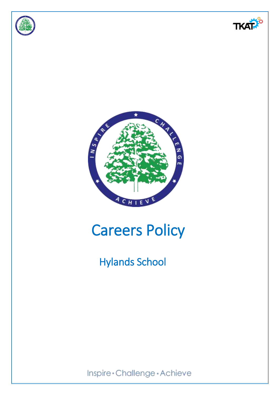





# Careers Policy

## Hylands School

Inspire\*Challenge\*Achieve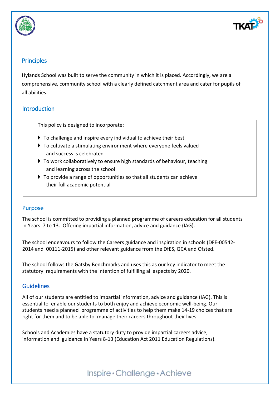



## **Principles**

Hylands School was built to serve the community in which it is placed. Accordingly, we are a comprehensive, community school with a clearly defined catchment area and cater for pupils of all abilities.

## **Introduction**

This policy is designed to incorporate:

- To challenge and inspire every individual to achieve their best
- ▶ To cultivate a stimulating environment where everyone feels valued and success is celebrated
- ▶ To work collaboratively to ensure high standards of behaviour, teaching and learning across the school
- ▶ To provide a range of opportunities so that all students can achieve their full academic potential

## Purpose

The school is committed to providing a planned programme of careers education for all students in Years 7 to 13. Offering impartial information, advice and guidance (IAG).

The school endeavours to follow the Careers guidance and inspiration in schools (DFE-00542- 2014 and 00111-2015) and other relevant guidance from the DfES, QCA and Ofsted.

The school follows the Gatsby Benchmarks and uses this as our key indicator to meet the statutory requirements with the intention of fulfilling all aspects by 2020.

## **Guidelines**

All of our students are entitled to impartial information, advice and guidance (IAG). This is essential to enable our students to both enjoy and achieve economic well-being. Our students need a planned programme of activities to help them make 14-19 choices that are right for them and to be able to manage their careers throughout their lives.

Schools and Academies have a statutory duty to provide impartial careers advice, information and guidance in Years 8-13 (Education Act 2011 Education Regulations).

## Inspire \* Challenge \* Achieve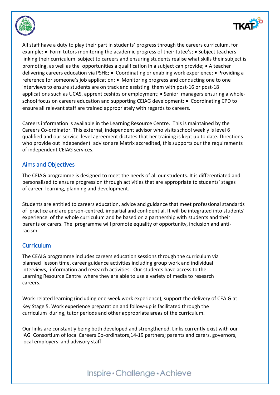



All staff have a duty to play their part in students' progress through the careers curriculum, for example:  $\bullet$  Form tutors monitoring the academic progress of their tutee's;  $\bullet$  Subject teachers linking their curriculum subject to careers and ensuring students realise what skills their subject is promoting, as well as the opportunities a qualification in a subject can provide;  $\bullet$  A teacher delivering careers education via PSHE; • Coordinating or enabling work experience; • Providing a reference for someone's job application; • Monitoring progress and conducting one to one interviews to ensure students are on track and assisting them with post-16 or post-18 applications such as UCAS, apprenticeships or employment; • Senior managers ensuring a wholeschool focus on careers education and supporting CEIAG development; • Coordinating CPD to ensure all relevant staff are trained appropriately with regards to careers.

Careers information is available in the Learning Resource Centre. This is maintained by the Careers Co-ordinator. This external, independent advisor who visits school weekly is level 6 qualified and our service level agreement dictates that her training is kept up to date. Directions who provide out independent advisor are Matrix accredited, this supports our the requirements of independent CEIAG services.

#### Aims and Objectives

The CEIAG programme is designed to meet the needs of all our students. It is differentiated and personalised to ensure progression through activities that are appropriate to students' stages of career learning, planning and development.

Students are entitled to careers education, advice and guidance that meet professional standards of practice and are person-centred, impartial and confidential. It will be integrated into students' experience of the whole curriculum and be based on a partnership with students and their parents or carers. The programme will promote equality of opportunity, inclusion and antiracism.

## **Curriculum**

The CEAIG programme includes careers education sessions through the curriculum via planned lesson time, career guidance activities including group work and individual interviews, information and research activities. Our students have access to the Learning Resource Centre where they are able to use a variety of media to research careers.

Work-related learning (including one-week work experience), support the delivery of CEAIG at Key Stage 5. Work experience preparation and follow-up is facilitated through the curriculum during, tutor periods and other appropriate areas of the curriculum.

Our links are constantly being both developed and strengthened. Links currently exist with our IAG Consortium of local Careers Co-ordinators,14-19 partners; parents and carers, governors, local employers and advisory staff.

## Inspire \* Challenge \* Achieve